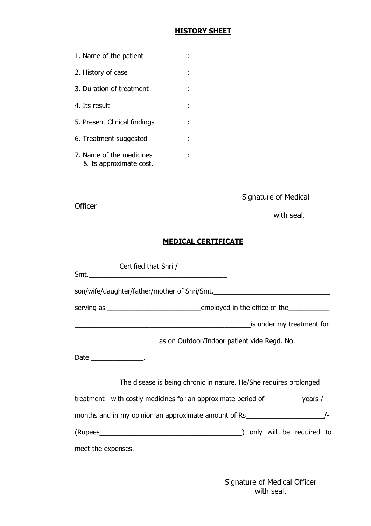### HISTORY SHEET

| 1. Name of the patient                              |  |
|-----------------------------------------------------|--|
| 2. History of case                                  |  |
| 3. Duration of treatment                            |  |
| 4. Its result                                       |  |
| 5. Present Clinical findings                        |  |
| 6. Treatment suggested                              |  |
| 7. Name of the medicines<br>& its approximate cost. |  |

Signature of Medical

**Officer** 

with seal.

## MEDICAL CERTIFICATE

|                    | Certified that Shri /                                                             |
|--------------------|-----------------------------------------------------------------------------------|
|                    | son/wife/daughter/father/mother of Shri/Smt.                                      |
|                    |                                                                                   |
|                    | is under my treatment for                                                         |
|                    |                                                                                   |
|                    | Date ________________.                                                            |
|                    | The disease is being chronic in nature. He/She requires prolonged                 |
|                    | treatment with costly medicines for an approximate period of _________ years /    |
|                    | months and in my opinion an approximate amount of Rs_____________________________ |
|                    | (Rupees (Rupees ) only will be required to                                        |
| meet the expenses. |                                                                                   |

 Signature of Medical Officer with seal.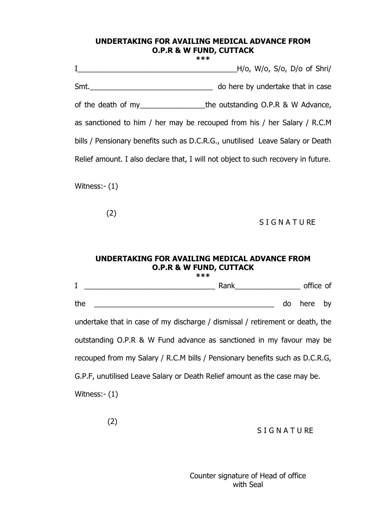#### UNDERTAKING FOR AVAILING MEDICAL ADVANCE FROM O.P.R & W FUND, CUTTACK \*\*\*

I\_\_\_\_\_\_\_\_\_\_\_\_\_\_\_\_\_\_\_\_\_\_\_\_\_\_\_\_\_\_\_\_\_\_\_\_\_\_\_H/o, W/o, S/o, D/o of Shri/ Smt. of the death of my extending O.P.R & W Advance, as sanctioned to him / her may be recouped from his / her Salary / R.C.M bills / Pensionary benefits such as D.C.R.G., unutilised Leave Salary or Death Relief amount. I also declare that, I will not object to such recovery in future.

Witness:- (1)

(2)

**SIGNATURE** 

#### UNDERTAKING FOR AVAILING MEDICAL ADVANCE FROM O.P.R & W FUND, CUTTACK \*\*\*

I \_\_\_\_\_\_\_\_\_\_\_\_\_\_\_\_\_\_\_\_\_\_\_\_\_\_\_\_\_\_\_\_ Rank\_\_\_\_\_\_\_\_\_\_\_\_\_\_\_\_ office of the <u>\_\_\_\_\_\_\_\_\_\_\_\_\_\_\_</u> do here by undertake that in case of my discharge / dismissal / retirement or death, the outstanding O.P.R & W Fund advance as sanctioned in my favour may be recouped from my Salary / R.C.M bills / Pensionary benefits such as D.C.R.G, G.P.F, unutilised Leave Salary or Death Relief amount as the case may be. Witness:- (1)

(2)

**SIGNATURE** 

Counter signature of Head of office with Seal